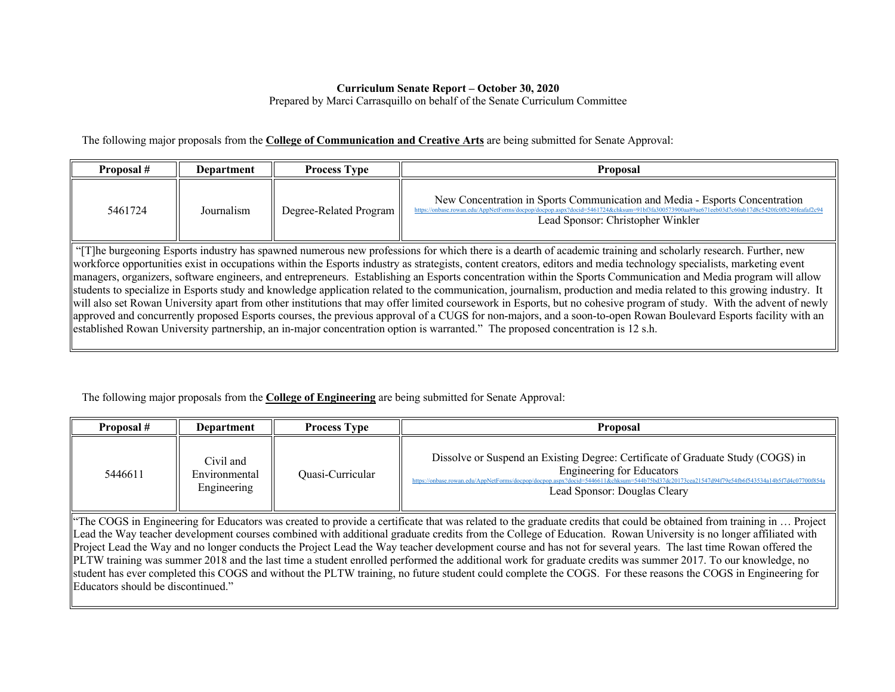## **Curriculum Senate Report – October 30, 2020**

Prepared by Marci Carrasquillo on behalf of the Senate Curriculum Committee

The following major proposals from the **College of Communication and Creative Arts** are being submitted for Senate Approval:

established Rowan University partnership, an in-major concentration option is warranted." The proposed concentration is 12 s.h.

| Proposal #                                                                                                                                                            | <b>Department</b> | <b>Process Type</b>    | Proposal                                                                                                                                                                                                                  |  |
|-----------------------------------------------------------------------------------------------------------------------------------------------------------------------|-------------------|------------------------|---------------------------------------------------------------------------------------------------------------------------------------------------------------------------------------------------------------------------|--|
| 5461724                                                                                                                                                               | Journalism        | Degree-Related Program | New Concentration in Sports Communication and Media - Esports Concentration<br>thase.rowan.edu/AppNetForms/docpon/docpon.aspx?docid=5461724&chksum=91bf3fa300573900998990671eeb03d7c<br>Lead Sponsor: Christopher Winkler |  |
| "The burgeoning Esports industry has spawned numerous new professions for which there is a dearth of academic training and scholarly research. Further, new           |                   |                        |                                                                                                                                                                                                                           |  |
| workforce opportunities exist in occupations within the Esports industry as strategists, content creators, editors and media technology specialists, marketing event  |                   |                        |                                                                                                                                                                                                                           |  |
| managers, organizers, software engineers, and entrepreneurs. Establishing an Esports concentration within the Sports Communication and Media program will allow       |                   |                        |                                                                                                                                                                                                                           |  |
| students to specialize in Esports study and knowledge application related to the communication, journalism, production and media related to this growing industry. It |                   |                        |                                                                                                                                                                                                                           |  |
| will also set Rowan University apart from other institutions that may offer limited coursework in Esports, but no cohesive program of study. With the advent of newly |                   |                        |                                                                                                                                                                                                                           |  |
| approved and concurrently proposed Esports courses, the previous approval of a CUGS for non-majors, and a soon-to-open Rowan Boulevard Esports facility with an       |                   |                        |                                                                                                                                                                                                                           |  |

## The following major proposals from the **College of Engineering** are being submitted for Senate Approval:

| Proposal # | <b>Department</b>                         | <b>Process Type</b> | <b>Proposal</b>                                                                                                                                                                                                                                                                               |
|------------|-------------------------------------------|---------------------|-----------------------------------------------------------------------------------------------------------------------------------------------------------------------------------------------------------------------------------------------------------------------------------------------|
| 5446611    | Civil and<br>Environmental<br>Engineering | Quasi-Curricular    | Dissolve or Suspend an Existing Degree: Certificate of Graduate Study (COGS) in<br>Engineering for Educators<br>https://onbase.rowan.edu/AppNetForms/docpop/docpop.aspx?docid=5446611&chksum=544b75bd37dc20173cea21547d94f79e54fb6f543534a14b5f7d4c07700f854a<br>Lead Sponsor: Douglas Cleary |

"The COGS in Engineering for Educators was created to provide a certificate that was related to the graduate credits that could be obtained from training in … Project Lead the Way teacher development courses combined with additional graduate credits from the College of Education. Rowan University is no longer affiliated with Project Lead the Way and no longer conducts the Project Lead the Way teacher development course and has not for several years. The last time Rowan offered the PLTW training was summer 2018 and the last time a student enrolled performed the additional work for graduate credits was summer 2017. To our knowledge, no student has ever completed this COGS and without the PLTW training, no future student could complete the COGS. For these reasons the COGS in Engineering for Educators should be discontinued."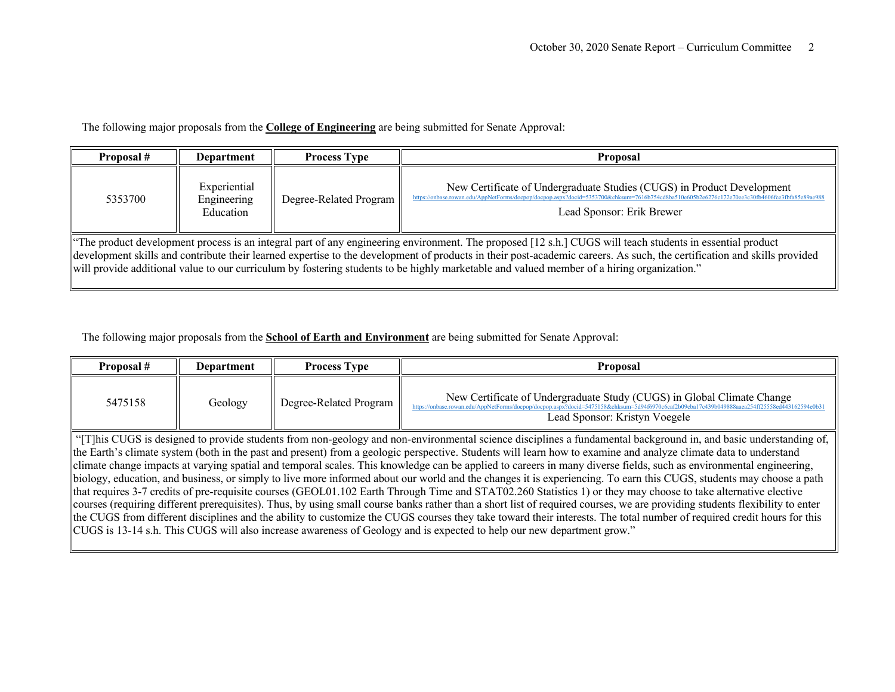The following major proposals from the **College of Engineering** are being submitted for Senate Approval:

| Proposal #                                                                                                                                                                                                                                                                                                                                                                                                                                                                         | Department                               | <b>Process Type</b>    | <b>Proposal</b>                                                                                                                                                                                                                                     |
|------------------------------------------------------------------------------------------------------------------------------------------------------------------------------------------------------------------------------------------------------------------------------------------------------------------------------------------------------------------------------------------------------------------------------------------------------------------------------------|------------------------------------------|------------------------|-----------------------------------------------------------------------------------------------------------------------------------------------------------------------------------------------------------------------------------------------------|
| 5353700                                                                                                                                                                                                                                                                                                                                                                                                                                                                            | Experiential<br>Engineering<br>Education | Degree-Related Program | New Certificate of Undergraduate Studies (CUGS) in Product Development<br>https://onbase.rowan.edu/AppNetForms/doepp/doepop.aspx?docid=5353700&chksum=7616b754cd8ba510e605b2e6276c172e70ee3c30fb4606fce3fbfa85e89ae988<br>Lead Sponsor: Erik Brewer |
| "The product development process is an integral part of any engineering environment. The proposed [12 s.h.] CUGS will teach students in essential product<br>development skills and contribute their learned expertise to the development of products in their post-academic careers. As such, the certification and skills provided<br>will provide additional value to our curriculum by fostering students to be highly marketable and valued member of a hiring organization." |                                          |                        |                                                                                                                                                                                                                                                     |

The following major proposals from the **School of Earth and Environment** are being submitted for Senate Approval:

| Proposal # | Department | <b>Process Type</b>    | Proposal                                                                                                                                                                                                                                                 |
|------------|------------|------------------------|----------------------------------------------------------------------------------------------------------------------------------------------------------------------------------------------------------------------------------------------------------|
| 5475158    | Geology    | Degree-Related Program | New Certificate of Undergraduate Study (CUGS) in Global Climate Change<br>https://onbase.rowan.edu/AppNetForms/docpop/docpop.aspx?docid=5475158&chksum=5d94f6970c6caf2b09cba17c439b049888aaea254ff25558ed443162594e0b31<br>Lead Sponsor: Kristyn Voegele |

 $\parallel$  "[T]his CUGS is designed to provide students from non-geology and non-environmental science disciplines a fundamental background in, and basic understanding of, the Earth's climate system (both in the past and present) from a geologic perspective. Students will learn how to examine and analyze climate data to understand climate change impacts at varying spatial and temporal scales. This knowledge can be applied to careers in many diverse fields, such as environmental engineering, biology, education, and business, or simply to live more informed about our world and the changes it is experiencing. To earn this CUGS, students may choose a path that requires 3-7 credits of pre-requisite courses (GEOL01.102 Earth Through Time and STAT02.260 Statistics 1) or they may choose to take alternative elective courses (requiring different prerequisites). Thus, by using small course banks rather than a short list of required courses, we are providing students flexibility to enter the CUGS from different disciplines and the ability to customize the CUGS courses they take toward their interests. The total number of required credit hours for this CUGS is 13-14 s.h. This CUGS will also increase awareness of Geology and is expected to help our new department grow."